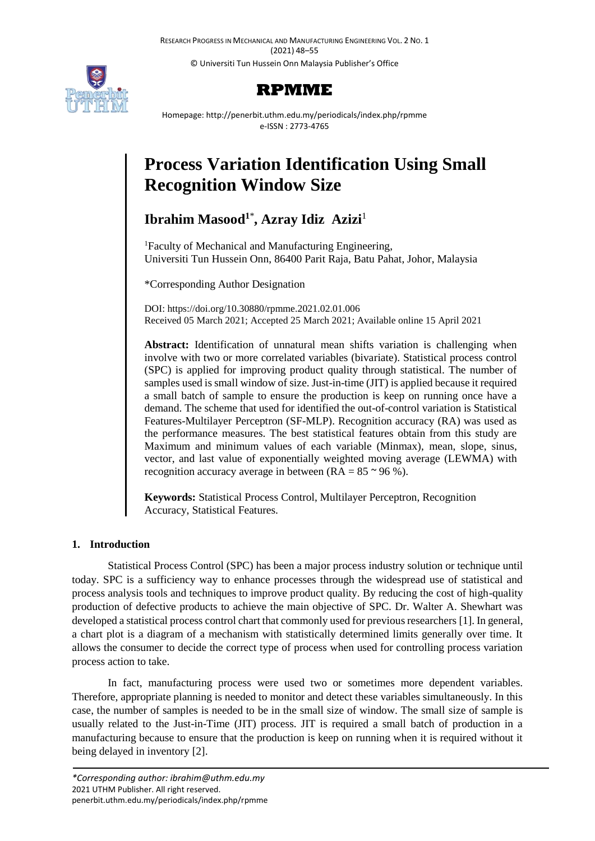RESEARCH PROGRESS IN MECHANICAL AND MANUFACTURING ENGINEERING VOL. 2 NO. 1 (2021) 48–55 © Universiti Tun Hussein Onn Malaysia Publisher's Office





Homepage: http://penerbit.uthm.edu.my/periodicals/index.php/rpmme e-ISSN : 2773-4765

# **Process Variation Identification Using Small Recognition Window Size**

## $I<sup>1</sup>$  Masood<sup>1</sup><sup>\*</sup>, Azray Idiz Azizi<sup>1</sup>

<sup>1</sup>Faculty of Mechanical and Manufacturing Engineering, Universiti Tun Hussein Onn, 86400 Parit Raja, Batu Pahat, Johor, Malaysia

\*Corresponding Author Designation

DOI: https://doi.org/10.30880/rpmme.2021.02.01.006 Received 05 March 2021; Accepted 25 March 2021; Available online 15 April 2021

**Abstract:** Identification of unnatural mean shifts variation is challenging when involve with two or more correlated variables (bivariate). Statistical process control (SPC) is applied for improving product quality through statistical. The number of samples used is small window of size. Just-in-time (JIT) is applied because it required a small batch of sample to ensure the production is keep on running once have a demand. The scheme that used for identified the out-of-control variation is Statistical Features-Multilayer Perceptron (SF-MLP). Recognition accuracy (RA) was used as the performance measures. The best statistical features obtain from this study are Maximum and minimum values of each variable (Minmax), mean, slope, sinus, vector, and last value of exponentially weighted moving average (LEWMA) with recognition accuracy average in between ( $RA = 85 \approx 96\%$ ).

**Keywords:** Statistical Process Control, Multilayer Perceptron, Recognition Accuracy, Statistical Features.

## **1. Introduction**

Statistical Process Control (SPC) has been a major process industry solution or technique until today. SPC is a sufficiency way to enhance processes through the widespread use of statistical and process analysis tools and techniques to improve product quality. By reducing the cost of high-quality production of defective products to achieve the main objective of SPC. Dr. Walter A. Shewhart was developed a statistical process control chart that commonly used for previous researchers [1]. In general, a chart plot is a diagram of a mechanism with statistically determined limits generally over time. It allows the consumer to decide the correct type of process when used for controlling process variation process action to take.

In fact, manufacturing process were used two or sometimes more dependent variables. Therefore, appropriate planning is needed to monitor and detect these variables simultaneously. In this case, the number of samples is needed to be in the small size of window. The small size of sample is usually related to the Just-in-Time (JIT) process. JIT is required a small batch of production in a manufacturing because to ensure that the production is keep on running when it is required without it being delayed in inventory [2].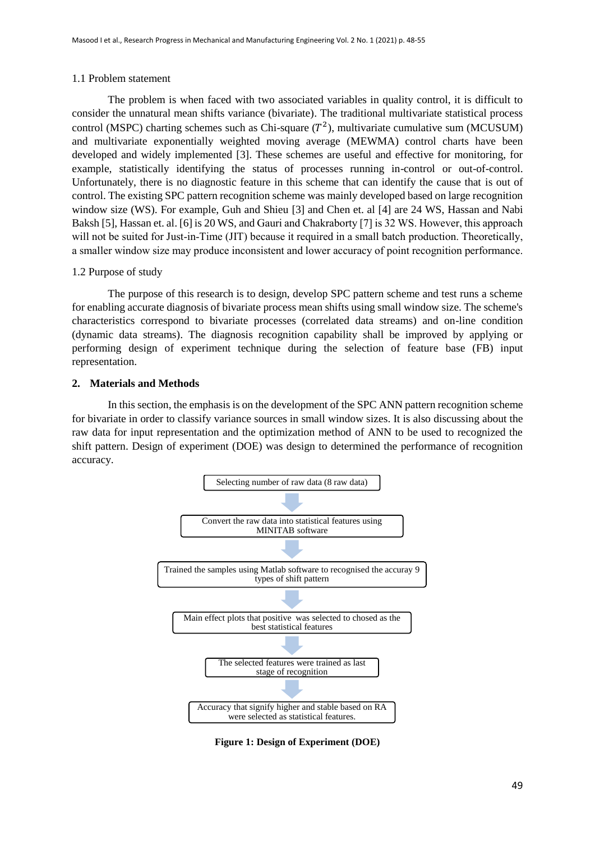## 1.1 Problem statement

The problem is when faced with two associated variables in quality control, it is difficult to consider the unnatural mean shifts variance (bivariate). The traditional multivariate statistical process control (MSPC) charting schemes such as Chi-square  $(T^2)$ , multivariate cumulative sum (MCUSUM) and multivariate exponentially weighted moving average (MEWMA) control charts have been developed and widely implemented [3]. These schemes are useful and effective for monitoring, for example, statistically identifying the status of processes running in-control or out-of-control. Unfortunately, there is no diagnostic feature in this scheme that can identify the cause that is out of control. The existing SPC pattern recognition scheme was mainly developed based on large recognition window size (WS). For example, Guh and Shieu [3] and Chen et. al [4] are 24 WS, Hassan and Nabi Baksh [5], Hassan et. al. [6] is 20 WS, and Gauri and Chakraborty [7] is 32 WS. However, this approach will not be suited for Just-in-Time (JIT) because it required in a small batch production. Theoretically, a smaller window size may produce inconsistent and lower accuracy of point recognition performance.

## 1.2 Purpose of study

The purpose of this research is to design, develop SPC pattern scheme and test runs a scheme for enabling accurate diagnosis of bivariate process mean shifts using small window size. The scheme's characteristics correspond to bivariate processes (correlated data streams) and on-line condition (dynamic data streams). The diagnosis recognition capability shall be improved by applying or performing design of experiment technique during the selection of feature base (FB) input representation.

## **2. Materials and Methods**

In this section, the emphasis is on the development of the SPC ANN pattern recognition scheme for bivariate in order to classify variance sources in small window sizes. It is also discussing about the raw data for input representation and the optimization method of ANN to be used to recognized the shift pattern. Design of experiment (DOE) was design to determined the performance of recognition accuracy.



**Figure 1: Design of Experiment (DOE)**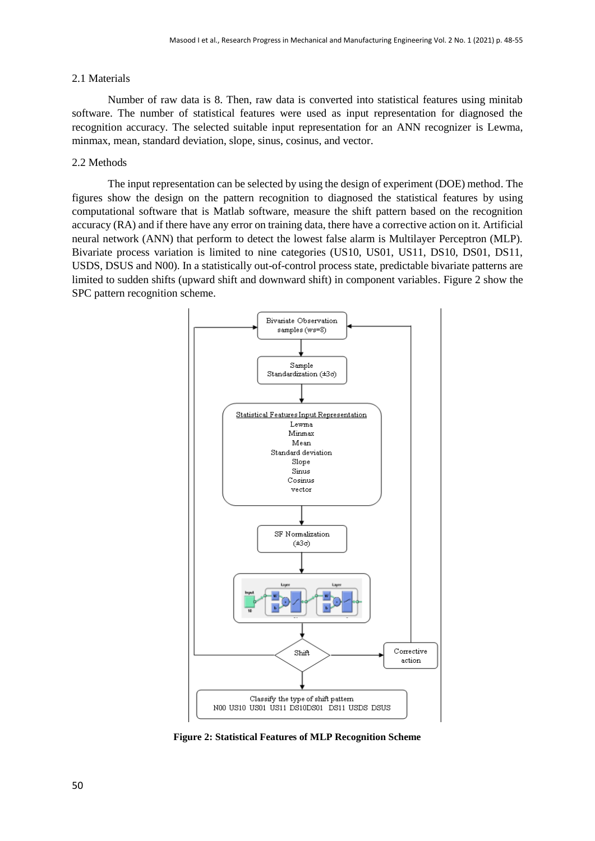#### 2.1 Materials

Number of raw data is 8. Then, raw data is converted into statistical features using minitab software. The number of statistical features were used as input representation for diagnosed the recognition accuracy. The selected suitable input representation for an ANN recognizer is Lewma, minmax, mean, standard deviation, slope, sinus, cosinus, and vector.

#### 2.2 Methods

The input representation can be selected by using the design of experiment (DOE) method. The figures show the design on the pattern recognition to diagnosed the statistical features by using computational software that is Matlab software, measure the shift pattern based on the recognition accuracy (RA) and if there have any error on training data, there have a corrective action on it. Artificial neural network (ANN) that perform to detect the lowest false alarm is Multilayer Perceptron (MLP). Bivariate process variation is limited to nine categories (US10, US01, US11, DS10, DS01, DS11, USDS, DSUS and N00). In a statistically out-of-control process state, predictable bivariate patterns are limited to sudden shifts (upward shift and downward shift) in component variables. [Figure 2](#page-2-0) show the SPC pattern recognition scheme.



<span id="page-2-0"></span>**Figure 2: Statistical Features of MLP Recognition Scheme**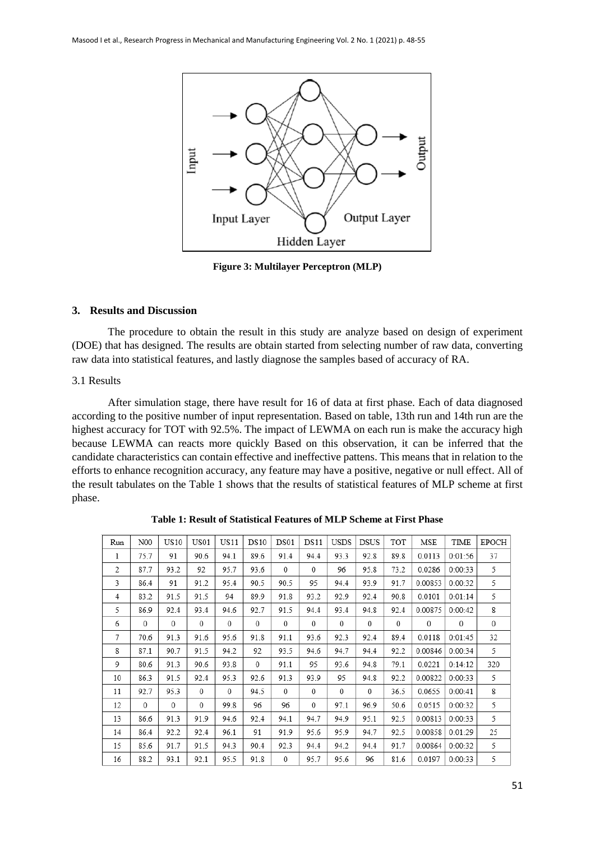

**Figure 3: Multilayer Perceptron (MLP)**

#### **3. Results and Discussion**

The procedure to obtain the result in this study are analyze based on design of experiment (DOE) that has designed. The results are obtain started from selecting number of raw data, converting raw data into statistical features, and lastly diagnose the samples based of accuracy of RA.

#### 3.1 Results

After simulation stage, there have result for 16 of data at first phase. Each of data diagnosed according to the positive number of input representation. Based on table, 13th run and 14th run are the highest accuracy for TOT with 92.5%. The impact of LEWMA on each run is make the accuracy high because LEWMA can reacts more quickly Based on this observation, it can be inferred that the candidate characteristics can contain effective and ineffective pattens. This means that in relation to the efforts to enhance recognition accuracy, any feature may have a positive, negative or null effect. All of the result tabulates on the [Table 1](#page-3-0) shows that the results of statistical features of MLP scheme at first phase.

<span id="page-3-0"></span>

| Run | N00          | <b>US10</b>  | US01         | <b>US11</b> | <b>DS10</b>  | DS01         | DS11     | <b>USDS</b> | <b>DSUS</b>  | TOT  | MSE          | TIME        | <b>EPOCH</b> |
|-----|--------------|--------------|--------------|-------------|--------------|--------------|----------|-------------|--------------|------|--------------|-------------|--------------|
| 1   | 75.7         | 91           | 90.6         | 94.1        | 89.6         | 91.4         | 94.4     | 93.3        | 92.8         | 89.8 | 0.0113       | 0:01:56     | 37           |
| 2   | 87.7         | 93.2         | 92           | 95.7        | 93.6         | $\mathbf{0}$ | $^{0}$   | 96          | 95.8         | 73.2 | 0.0286       | 0:00:33     | 5            |
| 3   | 86.4         | 91           | 91.2         | 95.4        | 90.5         | 90.5         | 95       | 94.4        | 93.9         | 91.7 | 0.00853      | 0:00:32     | 5            |
| 4   | 83.2         | 91.5         | 91.5         | 94          | 89.9         | 91.8         | 93.2     | 92.9        | 92.4         | 90.8 | 0.0101       | 0:01:14     | 5            |
| 5   | 86.9         | 92.4         | 93.4         | 94.6        | 92.7         | 91.5         | 94.4     | 93.4        | 94.8         | 92.4 | 0.00875      | 0:00:42     | 8            |
| 6   | $\mathbf{0}$ | $\mathbf{0}$ | 0            | $\theta$    | 0            | $\mathbf{0}$ | $^{0}$   | $\theta$    | $\theta$     | 0    | $\mathbf{0}$ | $\mathbf 0$ | 0            |
| 7   | 70.6         | 91.3         | 91.6         | 95.6        | 91.8         | 91.1         | 93.6     | 92.3        | 92.4         | 89.4 | 0.0118       | 0:01:45     | 32           |
| 8   | 87.1         | 90.7         | 91.5         | 94.2        | 92           | 93.5         | 94.6     | 94.7        | 94.4         | 92.2 | 0.00846      | 0:00:34     | 5            |
| 9   | 80.6         | 91.3         | 90.6         | 93.8        | $\mathbf{0}$ | 91.1         | 95       | 93.6        | 94.8         | 79.1 | 0.0221       | 0:14:12     | 320          |
| 10  | 86.3         | 91.5         | 92.4         | 95.3        | 92.6         | 91.3         | 93.9     | 95          | 94.8         | 92.2 | 0.00822      | 0:00:33     | 5            |
| 11  | 92.7         | 95.3         | $\mathbf{0}$ | $\theta$    | 94.5         | $\theta$     | $\theta$ | $\theta$    | $\mathbf{0}$ | 36.5 | 0.0655       | 0:00:41     | 8            |
| 12  | $\Omega$     | $\Omega$     | $\mathbf{0}$ | 99.8        | 96           | 96           | 0        | 97.1        | 96.9         | 50.6 | 0.0515       | 0:00:32     | 5            |
| 13  | 86.6         | 91.3         | 91.9         | 94.6        | 92.4         | 94.1         | 94.7     | 94.9        | 95.1         | 92.5 | 0.00813      | 0:00:33     | 5            |
| 14  | 86.4         | 92.2         | 92.4         | 96.1        | 91           | 91.9         | 95.6     | 95.9        | 94.7         | 92.5 | 0.00858      | 0:01:29     | 25           |
| 15  | 85.6         | 91.7         | 91.5         | 94.3        | 90.4         | 92.3         | 94.4     | 94.2        | 94.4         | 91.7 | 0.00864      | 0:00:32     | 5            |
| 16  | 88.2         | 93.1         | 92.1         | 95.5        | 91.8         | $\mathbf{0}$ | 95.7     | 95.6        | 96           | 81.6 | 0.0197       | 0:00:33     | 5            |

**Table 1: Result of Statistical Features of MLP Scheme at First Phase**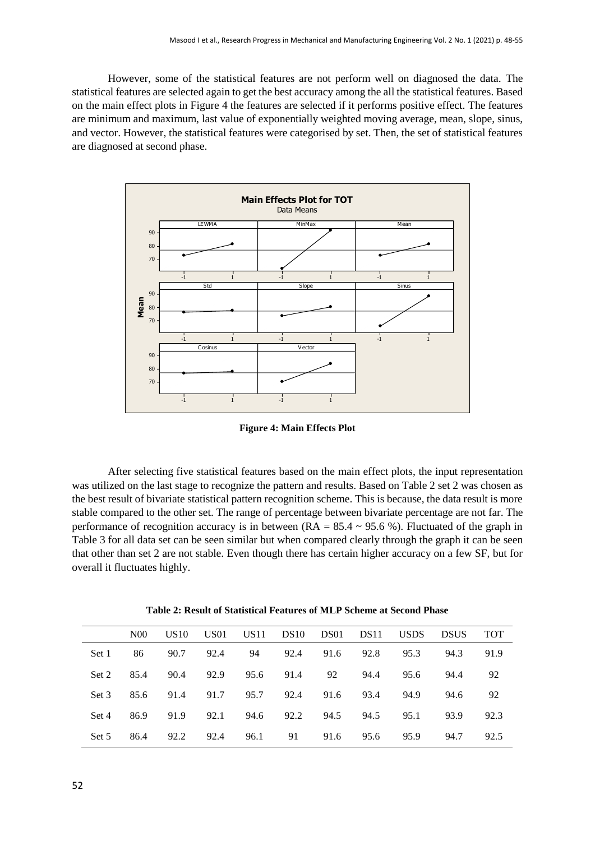However, some of the statistical features are not perform well on diagnosed the data. The statistical features are selected again to get the best accuracy among the all the statistical features. Based on the main effect plots in [Figure 4](#page-4-0) the features are selected if it performs positive effect. The features are minimum and maximum, last value of exponentially weighted moving average, mean, slope, sinus, and vector. However, the statistical features were categorised by set. Then, the set of statistical features are diagnosed at second phase.



**Figure 4: Main Effects Plot**

<span id="page-4-0"></span>After selecting five statistical features based on the main effect plots, the input representation was utilized on the last stage to recognize the pattern and results. Based on [Table 2](#page-4-1) set 2 was chosen as the best result of bivariate statistical pattern recognition scheme. This is because, the data result is more stable compared to the other set. The range of percentage between bivariate percentage are not far. The performance of recognition accuracy is in between ( $RA = 85.4 \sim 95.6$ %). Fluctuated of the graph in [Table 3](#page-5-0) for all data set can be seen similar but when compared clearly through the graph it can be seen that other than set 2 are not stable. Even though there has certain higher accuracy on a few SF, but for overall it fluctuates highly.

<span id="page-4-1"></span>

|       | N <sub>00</sub> | US <sub>10</sub> | US <sub>01</sub> | US11 | DS10 | DS01 | DS11      | <b>USDS</b> | <b>DSUS</b> | <b>TOT</b> |
|-------|-----------------|------------------|------------------|------|------|------|-----------|-------------|-------------|------------|
| Set 1 | 86              | 90.7             | 92.4             | 94   | 92.4 |      | 91.6 92.8 | 95.3        | 94.3        | 91.9       |
| Set 2 | 85.4            | 90.4             | 92.9             | 95.6 | 91.4 | 92   | 94.4      | 95.6        | 94.4        | 92         |
| Set 3 | 85.6            | 91.4             | 91.7             | 95.7 | 92.4 | 91.6 | 93.4      | 94.9        | 94.6        | 92         |
| Set 4 | 86.9            | 91.9             | 92.1             | 94.6 | 92.2 | 94.5 | 94.5      | 95.1        | 93.9        | 92.3       |
| Set 5 | 86.4            | 92.2             | 92.4             | 96.1 | 91   | 91.6 | 95.6      | 95.9        | 94.7        | 92.5       |

**Table 2: Result of Statistical Features of MLP Scheme at Second Phase**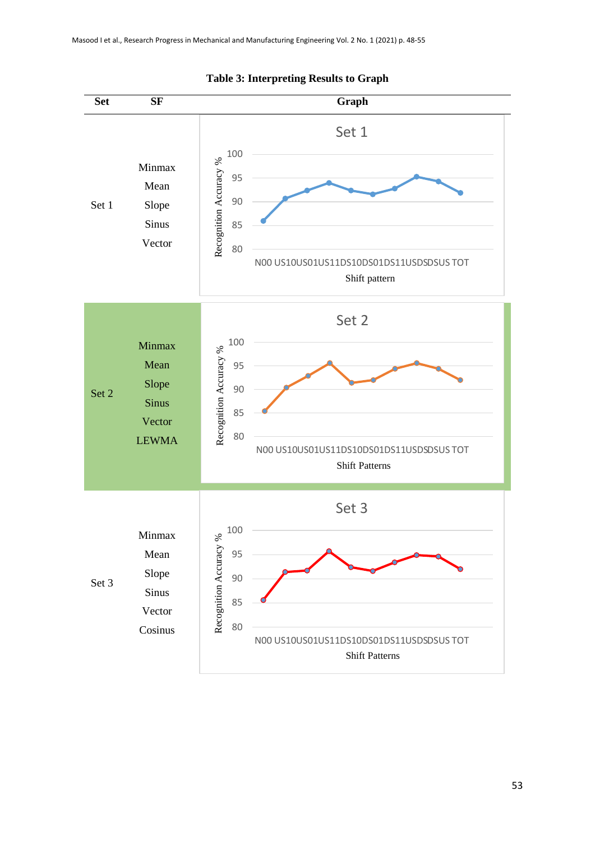<span id="page-5-0"></span>

### **Table 3: Interpreting Results to Graph**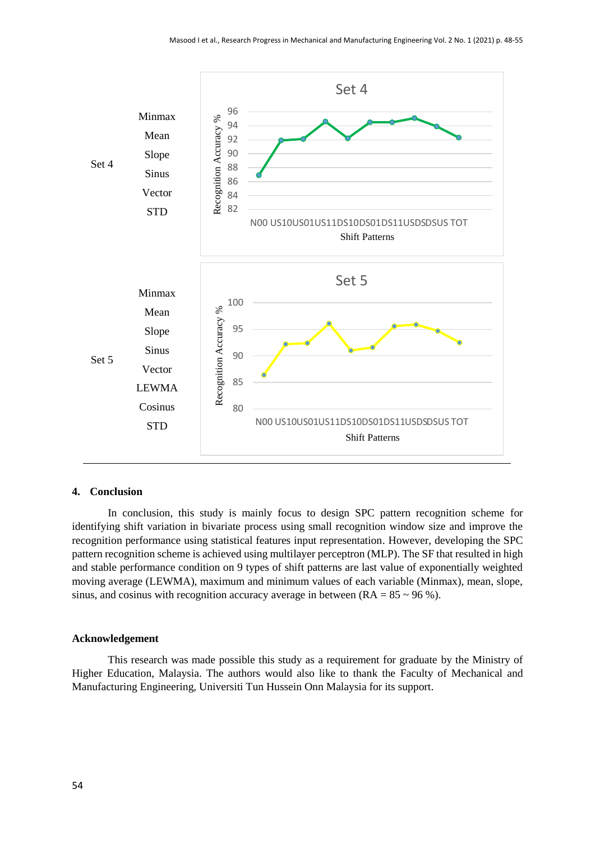

## **4. Conclusion**

In conclusion, this study is mainly focus to design SPC pattern recognition scheme for identifying shift variation in bivariate process using small recognition window size and improve the recognition performance using statistical features input representation. However, developing the SPC pattern recognition scheme is achieved using multilayer perceptron (MLP). The SF that resulted in high and stable performance condition on 9 types of shift patterns are last value of exponentially weighted moving average (LEWMA), maximum and minimum values of each variable (Minmax), mean, slope, sinus, and cosinus with recognition accuracy average in between  $(RA = 85 \sim 96 \%)$ .

#### **Acknowledgement**

This research was made possible this study as a requirement for graduate by the Ministry of Higher Education, Malaysia. The authors would also like to thank the Faculty of Mechanical and Manufacturing Engineering, Universiti Tun Hussein Onn Malaysia for its support.